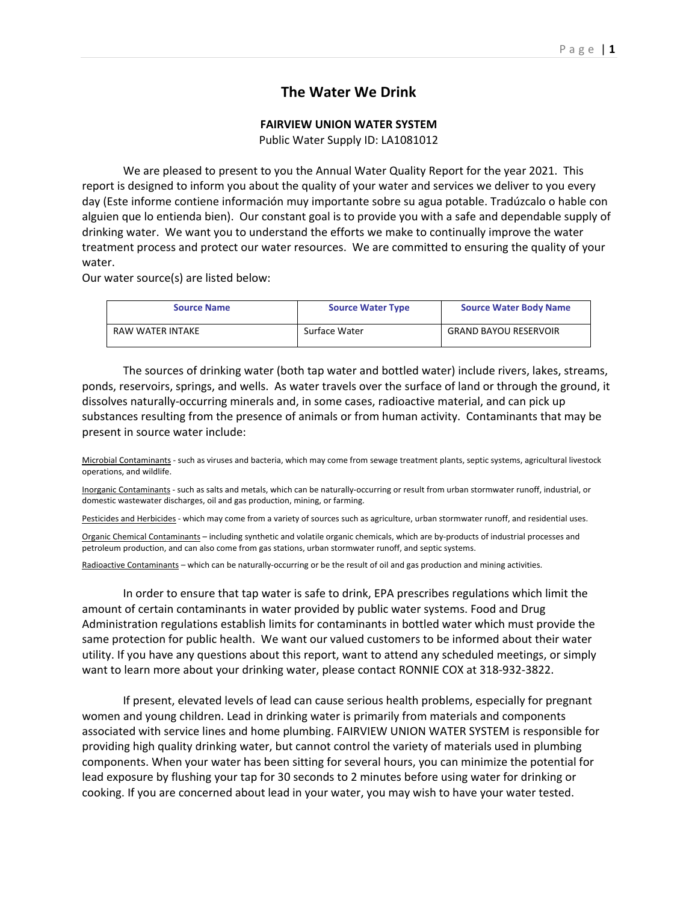## **The Water We Drink**

## **FAIRVIEW UNION WATER SYSTEM**

Public Water Supply ID: LA1081012

We are pleased to present to you the Annual Water Quality Report for the year 2021. This report is designed to inform you about the quality of your water and services we deliver to you every day (Este informe contiene información muy importante sobre su agua potable. Tradúzcalo o hable con alguien que lo entienda bien). Our constant goal is to provide you with a safe and dependable supply of drinking water. We want you to understand the efforts we make to continually improve the water treatment process and protect our water resources. We are committed to ensuring the quality of your water.

Our water source(s) are listed below:

| <b>Source Name</b> | <b>Source Water Type</b> | <b>Source Water Body Name</b> |
|--------------------|--------------------------|-------------------------------|
| RAW WATER INTAKE   | Surface Water            | <b>GRAND BAYOU RESERVOIR</b>  |

The sources of drinking water (both tap water and bottled water) include rivers, lakes, streams, ponds, reservoirs, springs, and wells. As water travels over the surface of land or through the ground, it dissolves naturally‐occurring minerals and, in some cases, radioactive material, and can pick up substances resulting from the presence of animals or from human activity. Contaminants that may be present in source water include:

Microbial Contaminants ‐ such as viruses and bacteria, which may come from sewage treatment plants, septic systems, agricultural livestock operations, and wildlife.

Inorganic Contaminants - such as salts and metals, which can be naturally-occurring or result from urban stormwater runoff, industrial, or domestic wastewater discharges, oil and gas production, mining, or farming.

Pesticides and Herbicides - which may come from a variety of sources such as agriculture, urban stormwater runoff, and residential uses.

Organic Chemical Contaminants – including synthetic and volatile organic chemicals, which are by‐products of industrial processes and petroleum production, and can also come from gas stations, urban stormwater runoff, and septic systems.

Radioactive Contaminants – which can be naturally-occurring or be the result of oil and gas production and mining activities.

In order to ensure that tap water is safe to drink, EPA prescribes regulations which limit the amount of certain contaminants in water provided by public water systems. Food and Drug Administration regulations establish limits for contaminants in bottled water which must provide the same protection for public health. We want our valued customers to be informed about their water utility. If you have any questions about this report, want to attend any scheduled meetings, or simply want to learn more about your drinking water, please contact RONNIE COX at 318‐932‐3822.

If present, elevated levels of lead can cause serious health problems, especially for pregnant women and young children. Lead in drinking water is primarily from materials and components associated with service lines and home plumbing. FAIRVIEW UNION WATER SYSTEM is responsible for providing high quality drinking water, but cannot control the variety of materials used in plumbing components. When your water has been sitting for several hours, you can minimize the potential for lead exposure by flushing your tap for 30 seconds to 2 minutes before using water for drinking or cooking. If you are concerned about lead in your water, you may wish to have your water tested.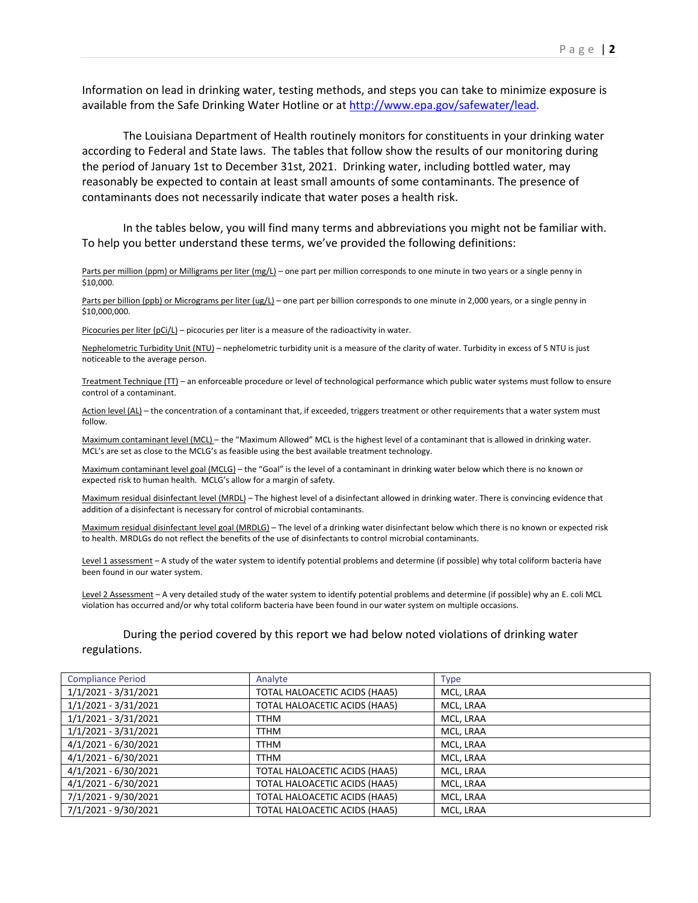Information on lead in drinking water, testing methods, and steps you can take to minimize exposure is available from the Safe Drinking Water Hotline or at http://www.epa.gov/safewater/lead.

The Louisiana Department of Health routinely monitors for constituents in your drinking water according to Federal and State laws. The tables that follow show the results of our monitoring during the period of January 1st to December 31st, 2021. Drinking water, including bottled water, may reasonably be expected to contain at least small amounts of some contaminants. The presence of contaminants does not necessarily indicate that water poses a health risk.

In the tables below, you will find many terms and abbreviations you might not be familiar with. To help you better understand these terms, we've provided the following definitions:

Parts per million (ppm) or Milligrams per liter (mg/L) – one part per million corresponds to one minute in two years or a single penny in \$10,000.

Parts per billion (ppb) or Micrograms per liter (ug/L) – one part per billion corresponds to one minute in 2,000 years, or a single penny in \$10,000,000.

Picocuries per liter  $(pCi/L)$  – picocuries per liter is a measure of the radioactivity in water.

Nephelometric Turbidity Unit (NTU) – nephelometric turbidity unit is a measure of the clarity of water. Turbidity in excess of 5 NTU is just noticeable to the average person.

Treatment Technique (TT) – an enforceable procedure or level of technological performance which public water systems must follow to ensure control of a contaminant.

Action level (AL) – the concentration of a contaminant that, if exceeded, triggers treatment or other requirements that a water system must follow.

Maximum contaminant level (MCL) – the "Maximum Allowed" MCL is the highest level of a contaminant that is allowed in drinking water. MCL's are set as close to the MCLG's as feasible using the best available treatment technology.

Maximum contaminant level goal (MCLG) – the "Goal" is the level of a contaminant in drinking water below which there is no known or expected risk to human health. MCLG's allow for a margin of safety.

Maximum residual disinfectant level (MRDL) – The highest level of a disinfectant allowed in drinking water. There is convincing evidence that addition of a disinfectant is necessary for control of microbial contaminants.

Maximum residual disinfectant level goal (MRDLG) – The level of a drinking water disinfectant below which there is no known or expected risk to health. MRDLGs do not reflect the benefits of the use of disinfectants to control microbial contaminants.

Level 1 assessment - A study of the water system to identify potential problems and determine (if possible) why total coliform bacteria have been found in our water system.

Level 2 Assessment - A very detailed study of the water system to identify potential problems and determine (if possible) why an E. coli MCL violation has occurred and/or why total coliform bacteria have been found in our water system on multiple occasions.

During the period covered by this report we had below noted violations of drinking water regulations.

| <b>Compliance Period</b> | Analyte                       | <b>Type</b> |
|--------------------------|-------------------------------|-------------|
| 1/1/2021 - 3/31/2021     | TOTAL HALOACETIC ACIDS (HAA5) | MCL, LRAA   |
| 1/1/2021 - 3/31/2021     | TOTAL HALOACETIC ACIDS (HAA5) | MCL, LRAA   |
| 1/1/2021 - 3/31/2021     | TTHM                          | MCL, LRAA   |
| 1/1/2021 - 3/31/2021     | TTHM                          | MCL, LRAA   |
| 4/1/2021 - 6/30/2021     | TTHM                          | MCL, LRAA   |
| 4/1/2021 - 6/30/2021     | TTHM                          | MCL, LRAA   |
| $4/1/2021 - 6/30/2021$   | TOTAL HALOACETIC ACIDS (HAA5) | MCL, LRAA   |
| 4/1/2021 - 6/30/2021     | TOTAL HALOACETIC ACIDS (HAA5) | MCL, LRAA   |
| 7/1/2021 - 9/30/2021     | TOTAL HALOACETIC ACIDS (HAA5) | MCL, LRAA   |
| 7/1/2021 - 9/30/2021     | TOTAL HALOACETIC ACIDS (HAA5) | MCL, LRAA   |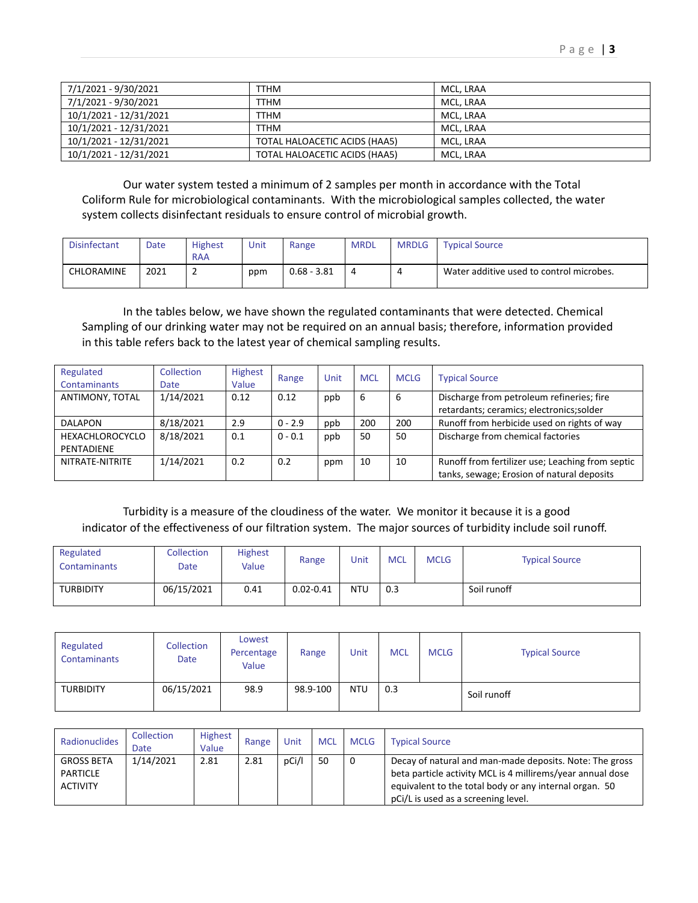| 7/1/2021 - 9/30/2021   | TTHM                          | MCL. LRAA |
|------------------------|-------------------------------|-----------|
| 7/1/2021 - 9/30/2021   | <b>TTHM</b>                   | MCL. LRAA |
| 10/1/2021 - 12/31/2021 | <b>TTHM</b>                   | MCL, LRAA |
| 10/1/2021 - 12/31/2021 | <b>TTHM</b>                   | MCL, LRAA |
| 10/1/2021 - 12/31/2021 | TOTAL HALOACETIC ACIDS (HAA5) | MCL, LRAA |
| 10/1/2021 - 12/31/2021 | TOTAL HALOACETIC ACIDS (HAA5) | MCL, LRAA |

Our water system tested a minimum of 2 samples per month in accordance with the Total Coliform Rule for microbiological contaminants. With the microbiological samples collected, the water system collects disinfectant residuals to ensure control of microbial growth.

| <b>Disinfectant</b> | Date | <b>Highest</b> | Unit | Range       | <b>MRDL</b> | <b>MRDLG</b> | <b>Typical Source</b>                    |
|---------------------|------|----------------|------|-------------|-------------|--------------|------------------------------------------|
|                     |      | <b>RAA</b>     |      |             |             |              |                                          |
| CHLORAMINE          | 2021 | -              | ppm  | 0.68 - 3.81 |             |              | Water additive used to control microbes. |

In the tables below, we have shown the regulated contaminants that were detected. Chemical Sampling of our drinking water may not be required on an annual basis; therefore, information provided in this table refers back to the latest year of chemical sampling results.

| Regulated<br>Contaminants     | <b>Collection</b><br><b>Date</b> | Highest<br>Value | Range     | Unit | <b>MCL</b> | <b>MCLG</b> | <b>Typical Source</b>                                                                          |
|-------------------------------|----------------------------------|------------------|-----------|------|------------|-------------|------------------------------------------------------------------------------------------------|
| ANTIMONY, TOTAL               | 1/14/2021                        | 0.12             | 0.12      | ppb  | 6          | 6           | Discharge from petroleum refineries; fire<br>retardants; ceramics; electronics; solder         |
| <b>DALAPON</b>                | 8/18/2021                        | 2.9              | $0 - 2.9$ | ppb  | 200        | 200         | Runoff from herbicide used on rights of way                                                    |
| HEXACHLOROCYCLO<br>PENTADIENE | 8/18/2021                        | 0.1              | $0 - 0.1$ | ppb  | 50         | 50          | Discharge from chemical factories                                                              |
| NITRATE-NITRITE               | 1/14/2021                        | 0.2              | 0.2       | ppm  | 10         | 10          | Runoff from fertilizer use; Leaching from septic<br>tanks, sewage; Erosion of natural deposits |

Turbidity is a measure of the cloudiness of the water. We monitor it because it is a good indicator of the effectiveness of our filtration system. The major sources of turbidity include soil runoff.

| Regulated<br><b>Contaminants</b> | <b>Collection</b><br>Date | <b>Highest</b><br>Value | Range         | Unit       | <b>MCL</b> | <b>MCLG</b> | <b>Typical Source</b> |
|----------------------------------|---------------------------|-------------------------|---------------|------------|------------|-------------|-----------------------|
| <b>TURBIDITY</b>                 | 06/15/2021                | 0.41                    | $0.02 - 0.41$ | <b>NTU</b> | 0.3        |             | Soil runoff           |

| Regulated<br><b>Contaminants</b> | <b>Collection</b><br>Date | Lowest<br>Percentage<br>Value | Range    | Unit       | <b>MCL</b> | <b>MCLG</b> | <b>Typical Source</b> |
|----------------------------------|---------------------------|-------------------------------|----------|------------|------------|-------------|-----------------------|
| <b>TURBIDITY</b>                 | 06/15/2021                | 98.9                          | 98.9-100 | <b>NTU</b> | 0.3        |             | Soil runoff           |

| Radionuclides                                           | Collection<br>Date | <b>Highest</b><br>Value | Range | Unit  | <b>MCL</b> | <b>MCLG</b> | <b>Typical Source</b>                                                                                                                                                                                                  |
|---------------------------------------------------------|--------------------|-------------------------|-------|-------|------------|-------------|------------------------------------------------------------------------------------------------------------------------------------------------------------------------------------------------------------------------|
| <b>GROSS BETA</b><br><b>PARTICLE</b><br><b>ACTIVITY</b> | 1/14/2021          | 2.81                    | 2.81  | pCi/l | 50         |             | Decay of natural and man-made deposits. Note: The gross<br>beta particle activity MCL is 4 millirems/year annual dose<br>equivalent to the total body or any internal organ. 50<br>pCi/L is used as a screening level. |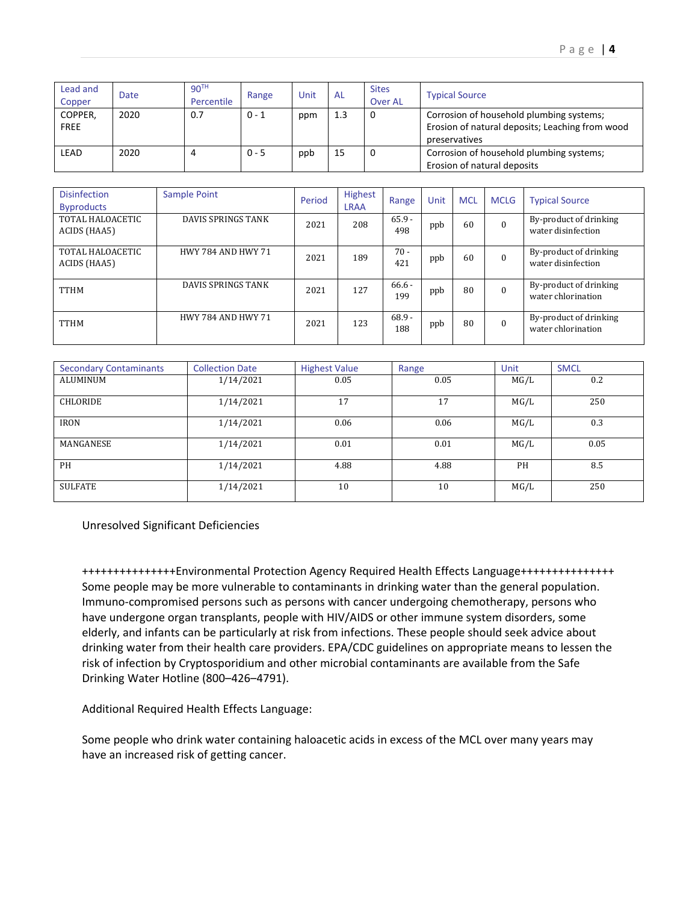| Lead and<br>Copper     | Date | 90 <sup>TH</sup><br>Percentile | Range   | Unit | <b>AL</b> | <b>Sites</b><br><b>Over AL</b> | <b>Typical Source</b>                                                                                        |
|------------------------|------|--------------------------------|---------|------|-----------|--------------------------------|--------------------------------------------------------------------------------------------------------------|
| COPPER,<br><b>FREE</b> | 2020 | 0.7                            | $0 - 1$ | ppm  | 1.3       | 0                              | Corrosion of household plumbing systems;<br>Erosion of natural deposits; Leaching from wood<br>preservatives |
| LEAD                   | 2020 |                                | $0 - 5$ | ppb  | 15        | 0                              | Corrosion of household plumbing systems;<br>Erosion of natural deposits                                      |

| <b>Disinfection</b><br><b>Byproducts</b> | Sample Point              | Period | <b>Highest</b><br><b>LRAA</b> | Range           | Unit | <b>MCL</b> | <b>MCLG</b> | <b>Typical Source</b>                        |
|------------------------------------------|---------------------------|--------|-------------------------------|-----------------|------|------------|-------------|----------------------------------------------|
| TOTAL HALOACETIC<br>ACIDS (HAA5)         | DAVIS SPRINGS TANK        | 2021   | 208                           | $65.9 -$<br>498 | ppb  | 60         |             | By-product of drinking<br>water disinfection |
| TOTAL HALOACETIC<br>ACIDS (HAA5)         | <b>HWY 784 AND HWY 71</b> | 2021   | 189                           | $70 -$<br>421   | ppb  | 60         |             | By-product of drinking<br>water disinfection |
| <b>TTHM</b>                              | DAVIS SPRINGS TANK        | 2021   | 127                           | $66.6 -$<br>199 | ppb  | 80         |             | By-product of drinking<br>water chlorination |
| <b>TTHM</b>                              | <b>HWY 784 AND HWY 71</b> | 2021   | 123                           | $68.9 -$<br>188 | ppb  | 80         |             | By-product of drinking<br>water chlorination |

| <b>Secondary Contaminants</b> | <b>Collection Date</b> | <b>Highest Value</b> | Range | Unit | <b>SMCL</b> |
|-------------------------------|------------------------|----------------------|-------|------|-------------|
| ALUMINUM                      | 1/14/2021              | 0.05                 | 0.05  | MG/L | 0.2         |
| CHLORIDE                      | 1/14/2021              | 17                   | 17    | MG/L | 250         |
| <b>IRON</b>                   | 1/14/2021              | 0.06                 | 0.06  | MG/L | 0.3         |
| MANGANESE                     | 1/14/2021              | 0.01                 | 0.01  | MG/L | 0.05        |
| PH                            | 1/14/2021              | 4.88                 | 4.88  | PH   | 8.5         |
| SULFATE                       | 1/14/2021              | 10                   | 10    | MG/L | 250         |

Unresolved Significant Deficiencies

+++++++++++++++Environmental Protection Agency Required Health Effects Language+++++++++++++++ Some people may be more vulnerable to contaminants in drinking water than the general population. Immuno‐compromised persons such as persons with cancer undergoing chemotherapy, persons who have undergone organ transplants, people with HIV/AIDS or other immune system disorders, some elderly, and infants can be particularly at risk from infections. These people should seek advice about drinking water from their health care providers. EPA/CDC guidelines on appropriate means to lessen the risk of infection by Cryptosporidium and other microbial contaminants are available from the Safe Drinking Water Hotline (800–426–4791).

Additional Required Health Effects Language:

Some people who drink water containing haloacetic acids in excess of the MCL over many years may have an increased risk of getting cancer.